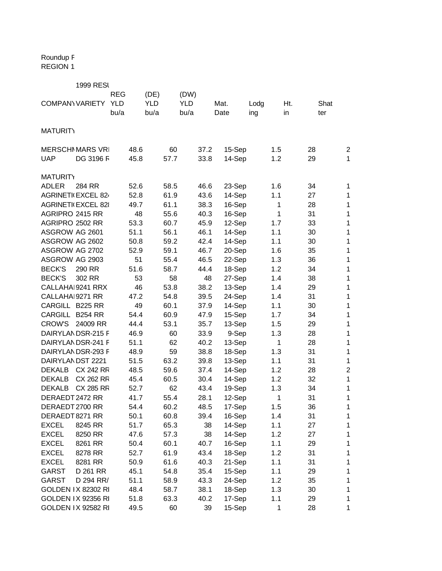Roundup F REGION 1

|                        | <b>1999 RESI</b>          |            |      |            |      |            |      |        |      |     |     |      |                  |
|------------------------|---------------------------|------------|------|------------|------|------------|------|--------|------|-----|-----|------|------------------|
|                        |                           | <b>REG</b> |      | (DE)       |      | (DW)       |      |        |      |     |     |      |                  |
| <b>COMPANY VARIETY</b> |                           | <b>YLD</b> |      | <b>YLD</b> |      | <b>YLD</b> |      | Mat.   | Lodg |     | Ht. | Shat |                  |
|                        |                           | bu/a       |      | bu/a       |      | bu/a       |      | Date   | ing  |     | in  | ter  |                  |
|                        |                           |            |      |            |      |            |      |        |      |     |     |      |                  |
| <b>MATURITY</b>        |                           |            |      |            |      |            |      |        |      |     |     |      |                  |
|                        |                           |            |      |            |      |            |      |        |      |     |     |      |                  |
|                        | <b>MERSCHI MARS VRI</b>   |            | 48.6 |            | 60   |            | 37.2 | 15-Sep |      | 1.5 |     | 28   | $\overline{2}$   |
| <b>UAP</b>             | DG 3196 F                 |            | 45.8 |            | 57.7 |            | 33.8 | 14-Sep |      | 1.2 |     | 29   | 1                |
| <b>MATURITY</b>        |                           |            |      |            |      |            |      |        |      |     |     |      |                  |
| <b>ADLER</b>           | 284 RR                    |            | 52.6 |            | 58.5 |            | 46.6 | 23-Sep |      | 1.6 |     | 34   | 1                |
|                        | <b>AGRINETI(EXCEL 824</b> |            | 52.8 |            | 61.9 |            | 43.6 | 14-Sep |      | 1.1 |     | 27   | 1                |
|                        | <b>AGRINETI(EXCEL 82)</b> |            | 49.7 |            | 61.1 |            | 38.3 | 16-Sep |      | 1   |     | 28   | 1                |
| AGRIPRO 2415 RR        |                           |            | 48   |            | 55.6 |            | 40.3 | 16-Sep |      | 1   |     | 31   | 1                |
| AGRIPRO 2502 RR        |                           |            | 53.3 |            | 60.7 |            | 45.9 | 12-Sep |      | 1.7 |     | 33   | 1                |
| ASGROW AG 2601         |                           |            | 51.1 |            | 56.1 |            | 46.1 | 14-Sep |      | 1.1 |     | 30   | 1                |
| ASGROW AG 2602         |                           |            | 50.8 |            | 59.2 |            | 42.4 | 14-Sep |      | 1.1 |     | 30   | 1                |
| ASGROW AG 2702         |                           |            | 52.9 |            | 59.1 |            | 46.7 | 20-Sep |      | 1.6 |     | 35   | 1                |
| ASGROW AG 2903         |                           |            | 51   |            | 55.4 |            | 46.5 | 22-Sep |      | 1.3 |     | 36   | 1                |
| <b>BECK'S</b>          | 290 RR                    |            | 51.6 |            | 58.7 |            | 44.4 | 18-Sep |      | 1.2 |     | 34   | 1                |
| <b>BECK'S</b>          | 302 RR                    |            | 53   |            | 58   |            | 48   | 27-Sep |      | 1.4 |     | 38   | 1                |
|                        | CALLAHA 9241 RRX          |            | 46   |            | 53.8 |            | 38.2 | 13-Sep |      | 1.4 |     | 29   | 1                |
| CALLAHAI 9271 RR       |                           |            | 47.2 |            | 54.8 |            | 39.5 | 24-Sep |      | 1.4 |     | 31   | 1                |
| CARGILL B225 RR        |                           |            | 49   |            | 60.1 |            | 37.9 | 14-Sep |      | 1.1 |     | 30   | 1                |
| CARGILL                | <b>B254 RR</b>            |            | 54.4 |            | 60.9 |            | 47.9 | 15-Sep |      | 1.7 |     | 34   | 1                |
| <b>CROW'S</b>          | 24009 RR                  |            | 44.4 |            | 53.1 |            | 35.7 | 13-Sep |      | 1.5 |     | 29   | 1                |
|                        | DAIRYLANDSR-215 F         |            | 46.9 |            | 60   |            | 33.9 | 9-Sep  |      | 1.3 |     | 28   | 1                |
|                        | DAIRYLANDSR-241 F         |            | 51.1 |            | 62   |            | 40.2 | 13-Sep |      | 1   |     | 28   | 1                |
|                        | DAIRYLANDSR-293 F         |            | 48.9 |            | 59   |            | 38.8 | 18-Sep |      | 1.3 |     | 31   | 1                |
| DAIRYLANDST 2221       |                           |            | 51.5 |            | 63.2 |            | 39.8 | 13-Sep |      | 1.1 |     | 31   | $\mathbf 1$      |
| <b>DEKALB</b>          | <b>CX 242 RR</b>          |            | 48.5 |            | 59.6 |            | 37.4 | 14-Sep |      | 1.2 |     | 28   | $\boldsymbol{2}$ |
| <b>DEKALB</b>          | <b>CX 262 RR</b>          |            | 45.4 |            | 60.5 |            | 30.4 | 14-Sep |      | 1.2 |     | 32   | 1                |
| <b>DEKALB</b>          | <b>CX 285 RR</b>          |            | 52.7 |            | 62   |            | 43.4 | 19-Sep |      | 1.3 |     | 34   | 1                |
| DERAEDT 2472 RR        |                           |            | 41.7 |            | 55.4 |            | 28.1 | 12-Sep |      | 1   |     | 31   | 1                |
| DERAEDT 2700 RR        |                           |            | 54.4 |            | 60.2 |            | 48.5 | 17-Sep |      | 1.5 |     | 36   | 1                |
| DERAEDT 8271 RR        |                           |            | 50.1 |            | 60.8 |            | 39.4 | 16-Sep |      | 1.4 |     | 31   | 1                |
| <b>EXCEL</b>           | 8245 RR                   |            | 51.7 |            | 65.3 |            | 38   | 14-Sep |      | 1.1 |     | 27   | 1                |
| <b>EXCEL</b>           | 8250 RR                   |            | 47.6 |            | 57.3 |            | 38   | 14-Sep |      | 1.2 |     | 27   | 1                |
| <b>EXCEL</b>           | 8261 RR                   |            | 50.4 |            | 60.1 |            | 40.7 | 16-Sep |      | 1.1 |     | 29   | 1                |
| <b>EXCEL</b>           | 8278 RR                   |            | 52.7 |            | 61.9 |            | 43.4 | 18-Sep |      | 1.2 |     | 31   | 1                |
| <b>EXCEL</b>           | 8281 RR                   |            | 50.9 |            | 61.6 |            | 40.3 | 21-Sep |      | 1.1 |     | 31   | 1                |
| <b>GARST</b>           | D 261 RR                  |            | 45.1 |            | 54.8 |            | 35.4 | 15-Sep |      | 1.1 |     | 29   | 1                |
| GARST                  | D 294 RR/                 |            | 51.1 |            | 58.9 |            | 43.3 | 24-Sep |      | 1.2 |     | 35   | 1                |
|                        | <b>GOLDEN IX 82302 RI</b> |            | 48.4 |            | 58.7 |            | 38.1 | 18-Sep |      | 1.3 |     | 30   | 1                |
|                        | <b>GOLDEN IX 92356 RI</b> |            | 51.8 |            | 63.3 |            | 40.2 | 17-Sep |      | 1.1 |     | 29   | 1                |
|                        | <b>GOLDEN IX 92582 RI</b> |            | 49.5 |            | 60   |            | 39   | 15-Sep |      | 1   |     | 28   | 1                |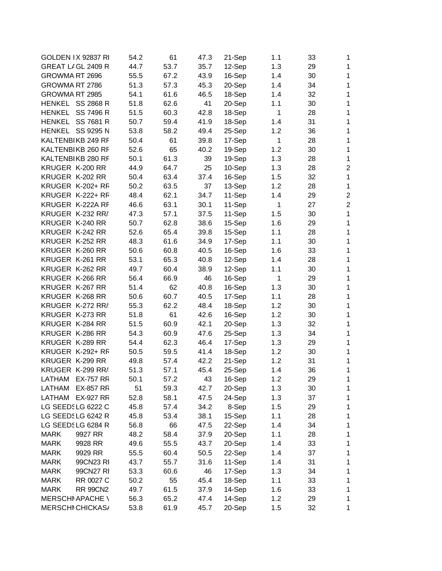|                 | <b>GOLDEN IX 92837 RI</b> | 54.2 | 61   | 47.3 | 21-Sep | 1.1          | 33 | 1              |
|-----------------|---------------------------|------|------|------|--------|--------------|----|----------------|
|                 | GREAT LIGL 2409 R         | 44.7 | 53.7 | 35.7 | 12-Sep | 1.3          | 29 | $\mathbf{1}$   |
| GROWMA RT 2696  |                           | 55.5 | 67.2 | 43.9 | 16-Sep | 1.4          | 30 | $\mathbf{1}$   |
| GROWMA RT 2786  |                           | 51.3 | 57.3 | 45.3 | 20-Sep | 1.4          | 34 | $\mathbf{1}$   |
| GROWMA RT 2985  |                           | 54.1 | 61.6 | 46.5 | 18-Sep | 1.4          | 32 | $\mathbf{1}$   |
|                 | HENKEL SS 2868 R          | 51.8 | 62.6 | 41   | 20-Sep | 1.1          | 30 | 1              |
|                 | HENKEL SS 7496 R          | 51.5 | 60.3 | 42.8 | 18-Sep | $\mathbf{1}$ | 28 | 1              |
|                 | HENKEL SS 7681 R          | 50.7 | 59.4 | 41.9 | 18-Sep | 1.4          | 31 | $\mathbf{1}$   |
|                 | HENKEL SS 9295 N          | 53.8 | 58.2 | 49.4 | 25-Sep | 1.2          | 36 | $\mathbf{1}$   |
|                 | KALTENBIKB 249 RF         | 50.4 | 61   | 39.8 | 17-Sep | 1            | 28 | $\mathbf{1}$   |
|                 | KALTENBIKB 260 RF         | 52.6 | 65   | 40.2 | 19-Sep | 1.2          | 30 | $\mathbf{1}$   |
|                 | KALTENBIKB 280 RF         | 50.1 | 61.3 | 39   | 19-Sep | 1.3          | 28 | $\mathbf{1}$   |
| KRUGER K-200 RR |                           | 44.9 | 64.7 | 25   | 10-Sep | 1.3          | 28 | $\overline{2}$ |
| KRUGER K-202 RR |                           | 50.4 | 63.4 | 37.4 | 16-Sep | 1.5          | 32 | $\mathbf{1}$   |
|                 | KRUGER K-202+ RF          | 50.2 | 63.5 | 37   | 13-Sep | 1.2          | 28 | $\mathbf{1}$   |
|                 | KRUGER K-222+ RF          | 48.4 | 62.1 | 34.7 | 11-Sep | 1.4          | 29 | $\overline{2}$ |
|                 | KRUGER K-222A RF          | 46.6 | 63.1 | 30.1 | 11-Sep | 1            | 27 | $\overline{2}$ |
|                 | KRUGER K-232 RR/          | 47.3 | 57.1 | 37.5 | 11-Sep | 1.5          | 30 | $\mathbf{1}$   |
|                 | KRUGER K-240 RR           | 50.7 | 62.8 | 38.6 | 15-Sep | 1.6          | 29 | $\mathbf{1}$   |
|                 | KRUGER K-242 RR           | 52.6 | 65.4 | 39.8 | 15-Sep | 1.1          | 28 | $\mathbf{1}$   |
|                 | KRUGER K-252 RR           | 48.3 | 61.6 | 34.9 | 17-Sep | 1.1          | 30 | $\mathbf{1}$   |
|                 | KRUGER K-260 RR           | 50.6 | 60.8 | 40.5 | 16-Sep | 1.6          | 33 | 1              |
|                 |                           |      |      |      |        |              |    | 1              |
|                 | KRUGER K-261 RR           | 53.1 | 65.3 | 40.8 | 12-Sep | 1.4          | 28 |                |
|                 | KRUGER K-262 RR           | 49.7 | 60.4 | 38.9 | 12-Sep | 1.1          | 30 | $\mathbf{1}$   |
|                 | KRUGER K-266 RR           | 56.4 | 66.9 | 46   | 16-Sep | 1            | 29 | $\mathbf{1}$   |
|                 | KRUGER K-267 RR           | 51.4 | 62   | 40.8 | 16-Sep | 1.3          | 30 | $\mathbf{1}$   |
|                 | KRUGER K-268 RR           | 50.6 | 60.7 | 40.5 | 17-Sep | 1.1          | 28 | $\mathbf{1}$   |
|                 | KRUGER K-272 RR/          | 55.3 | 62.2 | 48.4 | 18-Sep | 1.2          | 30 | $\mathbf{1}$   |
|                 | KRUGER K-273 RR           | 51.8 | 61   | 42.6 | 16-Sep | 1.2          | 30 | $\mathbf{1}$   |
| KRUGER K-284 RR |                           | 51.5 | 60.9 | 42.1 | 20-Sep | 1.3          | 32 | 1              |
|                 | KRUGER K-286 RR           | 54.3 | 60.9 | 47.6 | 25-Sep | 1.3          | 34 | 1              |
| KRUGER K-289 RR |                           | 54.4 | 62.3 | 46.4 | 17-Sep | 1.3          | 29 | $\mathbf{1}$   |
|                 | KRUGER K-292+ RF          | 50.5 | 59.5 | 41.4 | 18-Sep | 1.2          | 30 | $\mathbf{1}$   |
|                 | KRUGER K-299 RR           | 49.8 | 57.4 | 42.2 | 21-Sep | 1.2          | 31 | $\mathbf{1}$   |
|                 | KRUGER K-299 RR/          | 51.3 | 57.1 | 45.4 | 25-Sep | 1.4          | 36 | 1              |
| LATHAM          | <b>EX-757 RR</b>          | 50.1 | 57.2 | 43   | 16-Sep | 1.2          | 29 | 1              |
| <b>LATHAM</b>   | <b>EX-857 RR</b>          | 51   | 59.3 | 42.7 | 20-Sep | 1.3          | 30 | $\mathbf{1}$   |
|                 | LATHAM EX-927 RR          | 52.8 | 58.1 | 47.5 | 24-Sep | 1.3          | 37 | $\mathbf 1$    |
|                 | LG SEEDSLG 6222 C         | 45.8 | 57.4 | 34.2 | 8-Sep  | 1.5          | 29 | 1              |
|                 | LG SEEDSLG 6242 R         | 45.8 | 53.4 | 38.1 | 15-Sep | 1.1          | 28 | $\mathbf 1$    |
|                 | LG SEEDSLG 6284 R         | 56.8 | 66   | 47.5 | 22-Sep | 1.4          | 34 | $\mathbf 1$    |
| <b>MARK</b>     | 9927 RR                   | 48.2 | 58.4 | 37.9 | 20-Sep | 1.1          | 28 | $\mathbf{1}$   |
| <b>MARK</b>     | 9928 RR                   | 49.6 | 55.5 | 43.7 | 20-Sep | 1.4          | 33 | $\mathbf{1}$   |
| <b>MARK</b>     | 9929 RR                   | 55.5 | 60.4 | 50.5 | 22-Sep | 1.4          | 37 | $\mathbf{1}$   |
| <b>MARK</b>     | 99CN23 RI                 | 43.7 | 55.7 | 31.6 | 11-Sep | 1.4          | 31 | $\mathbf{1}$   |
| <b>MARK</b>     | 99CN27 RI                 | 53.3 | 60.6 | 46   | 17-Sep | 1.3          | 34 | 1              |
| <b>MARK</b>     | RR 0027 C                 | 50.2 | 55   | 45.4 | 18-Sep | 1.1          | 33 | 1              |
| <b>MARK</b>     | <b>RR 99CN2</b>           | 49.7 | 61.5 | 37.9 | 14-Sep | 1.6          | 33 | $\mathbf 1$    |
|                 | <b>MERSCHI APACHE \</b>   | 56.3 | 65.2 | 47.4 | 14-Sep | 1.2          | 29 | 1              |
|                 | MERSCHI CHICKAS/          | 53.8 | 61.9 | 45.7 | 20-Sep | 1.5          | 32 | $\mathbf 1$    |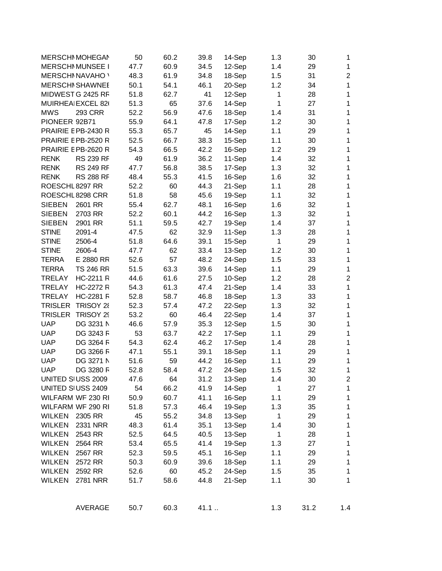|                 | <b>MERSCHI MOHEGAI</b>  | 50   | 60.2 | 39.8 | 14-Sep | 1.3          | 30   | 1              |
|-----------------|-------------------------|------|------|------|--------|--------------|------|----------------|
|                 | <b>MERSCHI MUNSEE I</b> | 47.7 | 60.9 | 34.5 | 12-Sep | 1.4          | 29   | $\mathbf{1}$   |
|                 | <b>MERSCHINAVAHO</b>    | 48.3 | 61.9 | 34.8 | 18-Sep | 1.5          | 31   | $\overline{2}$ |
|                 | <b>MERSCHI SHAWNEE</b>  | 50.1 | 54.1 | 46.1 | 20-Sep | 1.2          | 34   | 1              |
|                 | MIDWEST G 2425 RF       | 51.8 | 62.7 | 41   | 12-Sep | 1            | 28   | $\mathbf{1}$   |
|                 | MUIRHEA EXCEL 82        | 51.3 | 65   | 37.6 | 14-Sep | 1            | 27   | 1              |
| <b>MWS</b>      | <b>293 CRR</b>          | 52.2 | 56.9 | 47.6 | 18-Sep | 1.4          | 31   | $\mathbf{1}$   |
| PIONEER 92B71   |                         | 55.9 | 64.1 | 47.8 | 17-Sep | 1.2          | 30   | 1              |
|                 | PRAIRIE E PB-2430 R     | 55.3 | 65.7 | 45   | 14-Sep | 1.1          | 29   | $\mathbf{1}$   |
|                 | PRAIRIE E PB-2520 R     | 52.5 | 66.7 | 38.3 | 15-Sep | 1.1          | 30   | 1              |
|                 | PRAIRIE E PB-2620 R     | 54.3 | 66.5 | 42.2 | 16-Sep | 1.2          | 29   | 1              |
| <b>RENK</b>     | <b>RS 239 RF</b>        | 49   | 61.9 | 36.2 | 11-Sep | 1.4          | 32   | 1              |
| <b>RENK</b>     | <b>RS 249 RF</b>        | 47.7 | 56.8 | 38.5 | 17-Sep | 1.3          | 32   | $\mathbf{1}$   |
| <b>RENK</b>     | <b>RS 288 RF</b>        | 48.4 | 55.3 | 41.5 | 16-Sep | 1.6          | 32   | 1              |
| ROESCHL 8297 RR |                         | 52.2 | 60   | 44.3 | 21-Sep | 1.1          | 28   | 1              |
|                 | ROESCHL 8298 CRR        | 51.8 | 58   | 45.6 | 19-Sep | 1.1          | 32   | 1              |
| <b>SIEBEN</b>   | 2601 RR                 | 55.4 | 62.7 | 48.1 | 16-Sep | 1.6          | 32   | $\mathbf{1}$   |
| <b>SIEBEN</b>   | 2703 RR                 | 52.2 | 60.1 | 44.2 | 16-Sep | 1.3          | 32   | 1              |
| <b>SIEBEN</b>   | 2901 RR                 | 51.1 | 59.5 | 42.7 | 19-Sep | 1.4          | 37   | 1              |
| <b>STINE</b>    | 2091-4                  | 47.5 | 62   | 32.9 | 11-Sep | 1.3          | 28   | 1              |
| <b>STINE</b>    | 2506-4                  | 51.8 | 64.6 | 39.1 | 15-Sep | 1            | 29   | 1              |
| <b>STINE</b>    | 2606-4                  | 47.7 | 62   | 33.4 | 13-Sep | 1.2          | 30   | 1              |
| <b>TERRA</b>    | E 2880 RR               | 52.6 | 57   | 48.2 | 24-Sep | 1.5          | 33   | $\mathbf{1}$   |
| <b>TERRA</b>    | <b>TS 246 RR</b>        | 51.5 | 63.3 | 39.6 | 14-Sep | 1.1          | 29   | 1              |
| <b>TRELAY</b>   | <b>HC-2211 R</b>        | 44.6 | 61.6 | 27.5 | 10-Sep | 1.2          | 28   | $\overline{2}$ |
| <b>TRELAY</b>   | <b>HC-2272 R</b>        | 54.3 | 61.3 | 47.4 | 21-Sep | 1.4          | 33   | 1              |
| <b>TRELAY</b>   | <b>HC-2281 F</b>        | 52.8 | 58.7 | 46.8 | 18-Sep | 1.3          | 33   | 1              |
| <b>TRISLER</b>  | <b>TRISOY 28</b>        | 52.3 | 57.4 | 47.2 | 22-Sep | 1.3          | 32   | 1              |
| <b>TRISLER</b>  | TRISOY 29               | 53.2 | 60   | 46.4 | 22-Sep | 1.4          | 37   | $\mathbf{1}$   |
| <b>UAP</b>      | DG 3231 N               | 46.6 | 57.9 | 35.3 | 12-Sep | 1.5          | 30   | 1              |
| <b>UAP</b>      | DG 3243 F               | 53   | 63.7 | 42.2 | 17-Sep | 1.1          | 29   | 1              |
| <b>UAP</b>      | DG 3264 F               | 54.3 | 62.4 | 46.2 | 17-Sep | 1.4          | 28   | 1              |
| <b>UAP</b>      | DG 3266 F               | 47.1 | 55.1 | 39.1 | 18-Sep | 1.1          | 29   | $\mathbf{1}$   |
| <b>UAP</b>      | DG 3271 N               | 51.6 | 59   | 44.2 | 16-Sep | 1.1          | 29   | 1              |
| <b>UAP</b>      | DG 3280 F               | 52.8 | 58.4 | 47.2 | 24-Sep | 1.5          | 32   | 1              |
|                 | UNITED SIUSS 2009       | 47.6 | 64   | 31.2 | 13-Sep | 1.4          | 30   | $\overline{c}$ |
|                 | UNITED SIUSS 2409       | 54   | 66.2 | 41.9 | 14-Sep | $\mathbf{1}$ | 27   | $\mathbf{1}$   |
|                 | WILFARM WF 230 RI       | 50.9 | 60.7 | 41.1 | 16-Sep | 1.1          | 29   | $\mathbf{1}$   |
|                 | WILFARM WF 290 RI       | 51.8 | 57.3 | 46.4 | 19-Sep | 1.3          | 35   | $\mathbf{1}$   |
| <b>WILKEN</b>   | 2305 RR                 | 45   | 55.2 | 34.8 | 13-Sep | $\mathbf{1}$ | 29   | $\mathbf{1}$   |
| <b>WILKEN</b>   | 2331 NRR                | 48.3 | 61.4 | 35.1 | 13-Sep | 1.4          | 30   | $\mathbf{1}$   |
| <b>WILKEN</b>   | 2543 RR                 | 52.5 | 64.5 | 40.5 | 13-Sep | $\mathbf{1}$ | 28   | $\mathbf{1}$   |
| <b>WILKEN</b>   | 2564 RR                 | 53.4 | 65.5 | 41.4 | 19-Sep | 1.3          | 27   | $\mathbf{1}$   |
| <b>WILKEN</b>   | 2567 RR                 | 52.3 | 59.5 | 45.1 | 16-Sep | 1.1          | 29   | $\mathbf{1}$   |
| <b>WILKEN</b>   | 2572 RR                 | 50.3 | 60.9 | 39.6 | 18-Sep | 1.1          | 29   | $\mathbf{1}$   |
| <b>WILKEN</b>   | 2592 RR                 | 52.6 | 60   | 45.2 | 24-Sep | 1.5          | 35   | $\mathbf 1$    |
| <b>WILKEN</b>   | <b>2781 NRR</b>         | 51.7 | 58.6 | 44.8 | 21-Sep | 1.1          | 30   | $\mathbf{1}$   |
|                 |                         |      |      |      |        |              |      |                |
|                 | <b>AVERAGE</b>          | 50.7 | 60.3 | 41.1 |        | 1.3          | 31.2 | 1.4            |